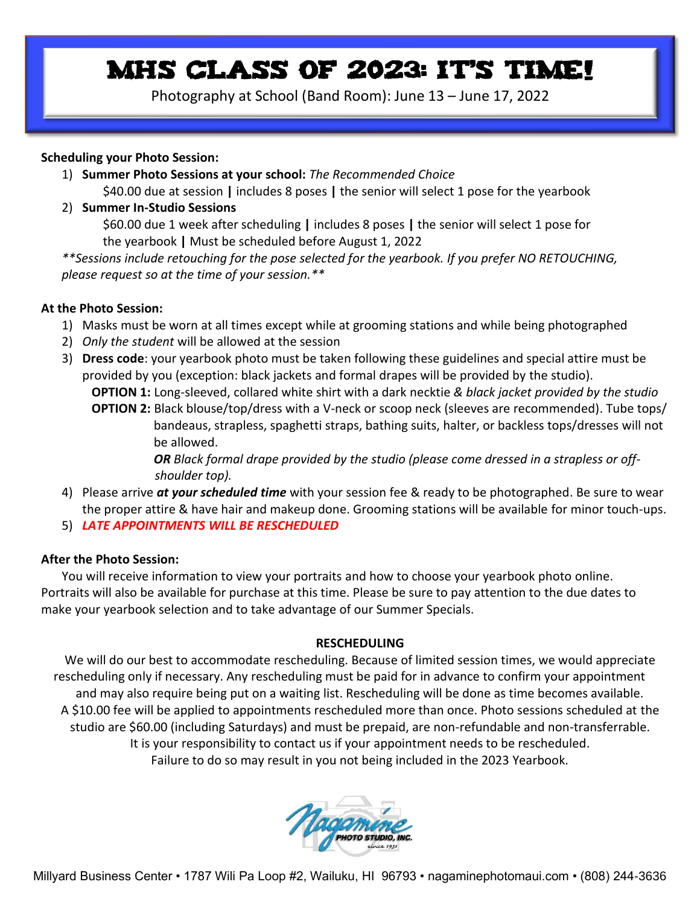## MHS CLASS OF 2023: IT'S TIME!

Photography at School (Band Room): June 13 – June 17, 2022

## **Scheduling your Photo Session:**

- 1) **Summer Photo Sessions at your school:** *The Recommended Choice* \$40.00 due at session **|** includes 8 poses **|** the senior will select 1 pose for the yearbook
- 2) **Summer In-Studio Sessions**

\$60.00 due 1 week after scheduling **|** includes 8 poses **|** the senior will select 1 pose for the yearbook **|** Must be scheduled before August 1, 2022

*\*\*Sessions include retouching for the pose selected for the yearbook. If you prefer NO RETOUCHING, please request so at the time of your session.\*\**

## **At the Photo Session:**

- 1) Masks must be worn at all times except while at grooming stations and while being photographed
- 2) *Only the student* will be allowed at the session
- 3) **Dress code**: your yearbook photo must be taken following these guidelines and special attire must be provided by you (exception: black jackets and formal drapes will be provided by the studio).  **OPTION 1:** Long-sleeved, collared white shirt with a dark necktie *& black jacket provided by the studio*  **OPTION 2:** Black blouse/top/dress with a V-neck or scoop neck (sleeves are recommended). Tube tops/ bandeaus, strapless, spaghetti straps, bathing suits, halter, or backless tops/dresses will not be allowed.

*OR Black formal drape provided by the studio (please come dressed in a strapless or off shoulder top).*

- 4) Please arrive *at your scheduled time* with your session fee & ready to be photographed. Be sure to wear the proper attire & have hair and makeup done. Grooming stations will be available for minor touch-ups.
- 5) *LATE APPOINTMENTS WILL BE RESCHEDULED*

## **After the Photo Session:**

You will receive information to view your portraits and how to choose your yearbook photo online. Portraits will also be available for purchase at this time. Please be sure to pay attention to the due dates to make your yearbook selection and to take advantage of our Summer Specials.

## **RESCHEDULING**

We will do our best to accommodate rescheduling. Because of limited session times, we would appreciate rescheduling only if necessary. Any rescheduling must be paid for in advance to confirm your appointment and may also require being put on a waiting list. Rescheduling will be done as time becomes available. A \$10.00 fee will be applied to appointments rescheduled more than once. Photo sessions scheduled at the studio are \$60.00 (including Saturdays) and must be prepaid, are non-refundable and non-transferrable. It is your responsibility to contact us if your appointment needs to be rescheduled. Failure to do so may result in you not being included in the 2023 Yearbook.